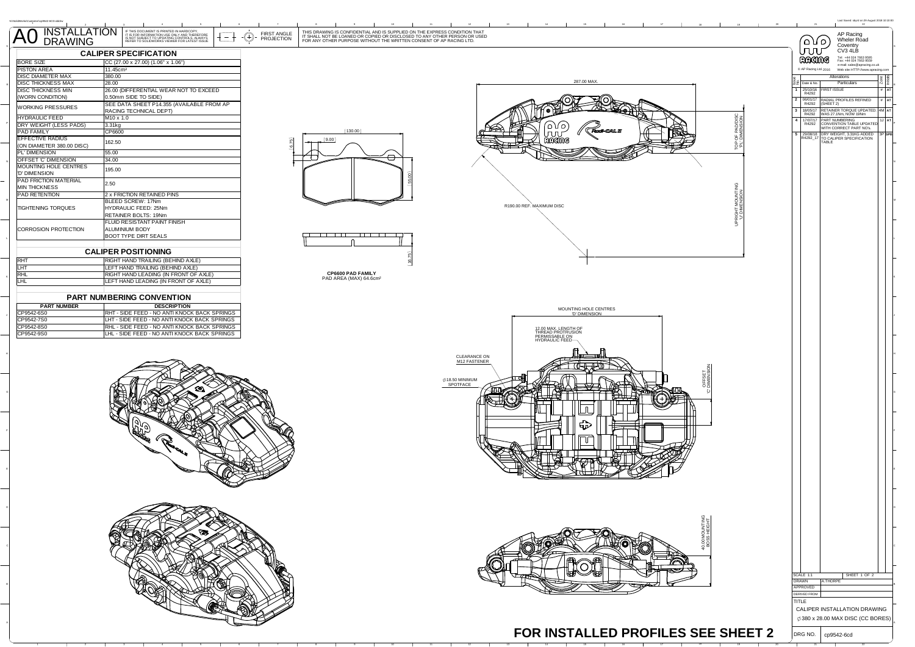|                                                |                                                                                                                                                                                                                                               |                                                                                                                                                                                                                                | Last Sayed: sbyrd on 29 A<br>21                                                                           |
|------------------------------------------------|-----------------------------------------------------------------------------------------------------------------------------------------------------------------------------------------------------------------------------------------------|--------------------------------------------------------------------------------------------------------------------------------------------------------------------------------------------------------------------------------|-----------------------------------------------------------------------------------------------------------|
| INSTALLATION<br>DRAWING<br>A0                  | IF THIS DOCUMENT IS PRINTED IN HARDCOPY,<br>IT IS FOR INFORMATION USE ONLY AND THEREFORE<br>IS NOT SUBJECT TO UPDATING CONTROLS. ALWAYS<br>REFER TO SOLIDWORKS VIEWER FOR LATEST ISSUE<br>FIRST ANGLE<br>$\hspace{.1in} \oplus$<br>PROJECTION | THIS DRAWING IS CONFIDENTIAL AND IS SUPPLIED ON THE EXPRESS CONDITION THAT<br>IT SHALL NOT BE LOANED OR COPIED OR DISCLOSED TO ANY OTHER PERSON OR USED<br>FOR ANY OTHER PURPOSE WITHOUT THE WRITTEN CONSENT OF AP RACING LTD. | AP Racing<br>Wheler Road<br>`۱۵۵)                                                                         |
|                                                | <b>CALIPER SPECIFICATION</b>                                                                                                                                                                                                                  |                                                                                                                                                                                                                                | Coventry<br>ر بر ب<br>CV3 4LB                                                                             |
| <b>BORE SIZE</b>                               | CC (27.00 x 27.00) (1.06" x 1.06")                                                                                                                                                                                                            |                                                                                                                                                                                                                                | Tel: +44 024 7663 9595<br>Fax: +44 024 7663 9559<br>RACING<br>e-mail: sales@apracing.co.uk                |
| <b>PISTON AREA</b><br><b>DISC DIAMETER MAX</b> | 11.45cm <sup>2</sup><br>380.00                                                                                                                                                                                                                |                                                                                                                                                                                                                                | C AP Racing Ltd. 2016 Web site: HTTP://www.apracing.com<br>Alterations                                    |
| <b>DISC THICKNESS MAX</b>                      | 28.00                                                                                                                                                                                                                                         | 287.00 MAX.                                                                                                                                                                                                                    | Particulars<br>22 Date & No.                                                                              |
| <b>DISC THICKNESS MIN</b><br>(WORN CONDITION)  | 26.00 (DIFFERENTIAL WEAR NOT TO EXCEED<br>0.50mm SIDE TO SIDE)                                                                                                                                                                                |                                                                                                                                                                                                                                | 1 25/10/16 FIRST ISSUE<br># A                                                                             |
| <b>WORKING PRESSURES</b>                       | SEE DATA SHEET P14.355 (AVAILABLE FROM AP                                                                                                                                                                                                     |                                                                                                                                                                                                                                | 2 06/01/17<br>RADIAL PROFILES REFINED<br>$#$ AT<br>R4292                                                  |
| <b>HYDRAULIC FEED</b>                          | RACING TECHNICAL DEPT)<br>M10 x 1.0                                                                                                                                                                                                           |                                                                                                                                                                                                                                | 18/05/17 RETAINER TORQUE UPDATED. 4M AT R4292 WAS 27.1Nm, NOW 19Nm<br>$\overline{\mathbf{3}}$<br>17/07/17 |
| DRY WEIGHT (LESS PADS)<br><b>PAD FAMILY</b>    | 3.31kg                                                                                                                                                                                                                                        | TOP OF PAD/DISC<br>"PL' DIMENSION<br>(130.00)                                                                                                                                                                                  | 17/07/17 PART NUMBERING<br>R4292 CONVENTION TABLE UPDATED<br>WITH CORRECT PART NO's.                      |
| EFFECTIVE RADIUS                               | CP6600<br>62.50                                                                                                                                                                                                                               | (9.00)<br>RACING                                                                                                                                                                                                               | 5 29/08/18 DRY WEIGHT, 3.31KG ADDED 3P SPE<br>R4292_17 TO CALIPER SPECIFICATION TABLE                     |
| (ON DIAMETER 380.00 DISC)<br>PL' DIMENSION     | 6.75<br>55.00                                                                                                                                                                                                                                 |                                                                                                                                                                                                                                |                                                                                                           |
| OFFSET 'C' DIMENSION                           | 34.00                                                                                                                                                                                                                                         | ⊖                                                                                                                                                                                                                              |                                                                                                           |
| MOUNTING HOLE CENTRES<br>'D' DIMENSION         | 195.00                                                                                                                                                                                                                                        |                                                                                                                                                                                                                                |                                                                                                           |
| PAD FRICTION MATERIAL                          | 2.50                                                                                                                                                                                                                                          |                                                                                                                                                                                                                                |                                                                                                           |
| <b>MIN THICKNESS</b><br>PAD RETENTION          | 2 x FRICTION RETAINED PINS                                                                                                                                                                                                                    |                                                                                                                                                                                                                                |                                                                                                           |
|                                                | BLEED SCREW: 17Nm                                                                                                                                                                                                                             | R190.00 REF. MAXIMUM DISC                                                                                                                                                                                                      |                                                                                                           |
| TIGHTENING TORQUES                             | HYDRAULIC FEED: 25Nm<br>RETAINER BOLTS: 19Nm                                                                                                                                                                                                  | JPRIGHT MOUNTING<br>"U" DIMENSION                                                                                                                                                                                              |                                                                                                           |
|                                                | FLUID RESISTANT PAINT FINISH                                                                                                                                                                                                                  |                                                                                                                                                                                                                                |                                                                                                           |
| CORROSION PROTECTION                           | ALUMINIUM BODY<br><b>BOOT TYPE DIRT SEALS</b>                                                                                                                                                                                                 | <b>TIME</b><br>70 O O                                                                                                                                                                                                          |                                                                                                           |
|                                                |                                                                                                                                                                                                                                               |                                                                                                                                                                                                                                |                                                                                                           |
|                                                | <b>CALIPER POSITIONING</b>                                                                                                                                                                                                                    |                                                                                                                                                                                                                                |                                                                                                           |
| RHT<br>LHT                                     | RIGHT HAND TRAILING (BEHIND AXLE)<br>LEFT HAND TRAILING (BEHIND AXLE)                                                                                                                                                                         |                                                                                                                                                                                                                                |                                                                                                           |
| <b>RHL</b>                                     | RIGHT HAND LEADING (IN FRONT OF AXLE)                                                                                                                                                                                                         | CP6600 PAD FAMILY<br>PAD AREA (MAX) 64.6cm <sup>2</sup>                                                                                                                                                                        |                                                                                                           |
| <b>LHL</b>                                     | LEFT HAND LEADING (IN FRONT OF AXLE)                                                                                                                                                                                                          |                                                                                                                                                                                                                                |                                                                                                           |
|                                                | <b>PART NUMBERING CONVENTION</b>                                                                                                                                                                                                              |                                                                                                                                                                                                                                |                                                                                                           |
| <b>PART NUMBER</b><br>CP9542-6S0               | <b>DESCRIPTION</b><br>RHT - SIDE FEED - NO ANTI KNOCK BACK SPRINGS                                                                                                                                                                            | MOUNTING HOLE CENTRES<br>"D' DIMENSION                                                                                                                                                                                         |                                                                                                           |
| CP9542-7S0                                     | LHT - SIDE FEED - NO ANTI KNOCK BACK SPRINGS                                                                                                                                                                                                  |                                                                                                                                                                                                                                |                                                                                                           |
| CP9542-8S0<br>CP9542-9S0                       | RHL - SIDE FEED - NO ANTI KNOCK BACK SPRINGS<br>LHL - SIDE FEED - NO ANTI KNOCK BACK SPRINGS                                                                                                                                                  | 12.00 MAX. LENGTH OF<br>THREAD PROTRUSION<br>PERMISSABLE ON<br>HYDRAULIC FEED                                                                                                                                                  |                                                                                                           |
|                                                |                                                                                                                                                                                                                                               |                                                                                                                                                                                                                                |                                                                                                           |
|                                                |                                                                                                                                                                                                                                               |                                                                                                                                                                                                                                |                                                                                                           |
|                                                |                                                                                                                                                                                                                                               | CLEARANCE ON<br>M12 FASTENER                                                                                                                                                                                                   |                                                                                                           |
|                                                |                                                                                                                                                                                                                                               |                                                                                                                                                                                                                                |                                                                                                           |
|                                                |                                                                                                                                                                                                                                               | OFFSET<br>DIMENS<br>Ø18.50 MINIMUM<br>SPOTFACE                                                                                                                                                                                 |                                                                                                           |
|                                                |                                                                                                                                                                                                                                               |                                                                                                                                                                                                                                |                                                                                                           |
|                                                |                                                                                                                                                                                                                                               |                                                                                                                                                                                                                                |                                                                                                           |
|                                                |                                                                                                                                                                                                                                               |                                                                                                                                                                                                                                |                                                                                                           |
|                                                |                                                                                                                                                                                                                                               | 5D                                                                                                                                                                                                                             |                                                                                                           |
|                                                |                                                                                                                                                                                                                                               |                                                                                                                                                                                                                                |                                                                                                           |
|                                                |                                                                                                                                                                                                                                               |                                                                                                                                                                                                                                |                                                                                                           |
|                                                |                                                                                                                                                                                                                                               |                                                                                                                                                                                                                                |                                                                                                           |
|                                                |                                                                                                                                                                                                                                               |                                                                                                                                                                                                                                |                                                                                                           |
|                                                |                                                                                                                                                                                                                                               |                                                                                                                                                                                                                                |                                                                                                           |
|                                                |                                                                                                                                                                                                                                               |                                                                                                                                                                                                                                |                                                                                                           |
|                                                |                                                                                                                                                                                                                                               |                                                                                                                                                                                                                                |                                                                                                           |
|                                                |                                                                                                                                                                                                                                               |                                                                                                                                                                                                                                |                                                                                                           |
|                                                |                                                                                                                                                                                                                                               |                                                                                                                                                                                                                                |                                                                                                           |
|                                                |                                                                                                                                                                                                                                               | <b>DO MOUNTING</b><br>OSS HEIGHT                                                                                                                                                                                               |                                                                                                           |
|                                                |                                                                                                                                                                                                                                               |                                                                                                                                                                                                                                |                                                                                                           |
|                                                |                                                                                                                                                                                                                                               |                                                                                                                                                                                                                                |                                                                                                           |
|                                                |                                                                                                                                                                                                                                               |                                                                                                                                                                                                                                |                                                                                                           |
|                                                |                                                                                                                                                                                                                                               |                                                                                                                                                                                                                                | SHEET 1 OF 2<br>SCALE 1:1                                                                                 |
|                                                |                                                                                                                                                                                                                                               |                                                                                                                                                                                                                                | DRAWN<br>A.THORPE<br>APPROVED                                                                             |
|                                                |                                                                                                                                                                                                                                               |                                                                                                                                                                                                                                | DERIVED FROM                                                                                              |
|                                                |                                                                                                                                                                                                                                               |                                                                                                                                                                                                                                | TITLE<br>CALIPER INSTALLATION DRAWING                                                                     |
|                                                |                                                                                                                                                                                                                                               |                                                                                                                                                                                                                                | $\phi$ 380 x 28.00 MAX DISC (CC BORES)                                                                    |
|                                                |                                                                                                                                                                                                                                               | FOR INSTALLED PROFILES SEE SHEET 2                                                                                                                                                                                             | DRG NO.                                                                                                   |
|                                                |                                                                                                                                                                                                                                               |                                                                                                                                                                                                                                | cp9542-6cd                                                                                                |